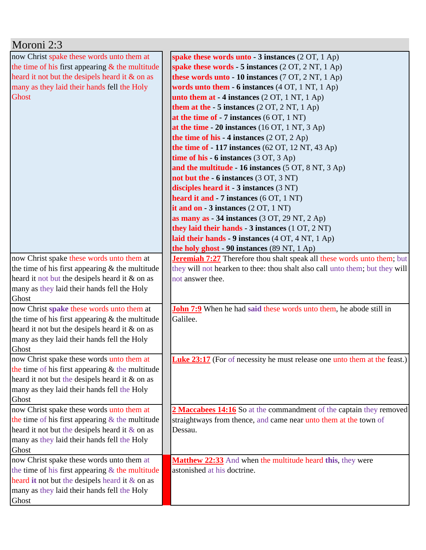| Moroni 2:3                                           |                                                                                           |
|------------------------------------------------------|-------------------------------------------------------------------------------------------|
| now Christ spake these words unto them at            | spake these words unto $-3$ instances (2 OT, 1 Ap)                                        |
| the time of his first appearing $\&$ the multitude   | spake these words $-5$ instances (2 OT, 2 NT, 1 Ap)                                       |
| heard it not but the desipels heard it & on as       | these words unto $-10$ instances (7 OT, 2 NT, 1 Ap)                                       |
| many as they laid their hands fell the Holy          | words unto them - 6 instances (4 OT, 1 NT, 1 Ap)                                          |
| <b>Ghost</b>                                         | unto them at $-4$ instances $(2 OT, 1 NT, 1 Ap)$                                          |
|                                                      | them at the $-5$ instances $(2 OT, 2 NT, 1 Ap)$                                           |
|                                                      | at the time of $-7$ instances (6 OT, 1 NT)                                                |
|                                                      | at the time $-20$ instances (16 OT, 1 NT, 3 Ap)                                           |
|                                                      | the time of his $-4$ instances $(2 OT, 2 Ap)$                                             |
|                                                      | the time of $-117$ instances (62 OT, 12 NT, 43 Ap)                                        |
|                                                      | time of his $-6$ instances (3 OT, 3 Ap)                                                   |
|                                                      | and the multitude - 16 instances (5 OT, 8 NT, 3 Ap)                                       |
|                                                      | not but the - 6 instances (3 OT, 3 NT)                                                    |
|                                                      | disciples heard it - 3 instances (3 NT)                                                   |
|                                                      | heard it and - 7 instances (6 OT, 1 NT)                                                   |
|                                                      | it and on $-3$ instances $(2 OT, 1 NT)$                                                   |
|                                                      | as many as $-34$ instances (3 OT, 29 NT, 2 Ap)                                            |
|                                                      | they laid their hands - 3 instances (1 OT, 2 NT)                                          |
|                                                      | laid their hands - 9 instances (4 OT, 4 NT, 1 Ap)                                         |
|                                                      | the holy ghost - 90 instances (89 NT, 1 Ap)                                               |
| now Christ spake these words unto them at            | <b>Jeremiah 7:27</b> Therefore thou shalt speak all these words unto them; but            |
| the time of his first appearing $&$ the multitude    | they will not hearken to thee: thou shalt also call unto them; but they will              |
| heard it not but the desipels heard it & on as       | not answer thee.                                                                          |
| many as they laid their hands fell the Holy          |                                                                                           |
| Ghost                                                |                                                                                           |
| now Christ spake these words unto them at            | John 7:9 When he had said these words unto them, he abode still in                        |
| the time of his first appearing $&$ the multitude    | Galilee.                                                                                  |
| heard it not but the desipels heard it & on as       |                                                                                           |
| many as they laid their hands fell the Holy          |                                                                                           |
| Ghost                                                |                                                                                           |
| now Christ spake these words unto them at            | <b>Luke 23:17</b> (For of necessity he must release one unto them at the feast.)          |
| the time of his first appearing $&$ the multitude    |                                                                                           |
| heard it not but the desipels heard it & on as       |                                                                                           |
| many as they laid their hands fell the Holy          |                                                                                           |
| Ghost                                                |                                                                                           |
| now Christ spake these words unto them at            | 2 Maccabees 14:16 So at the commandment of the captain they removed                       |
| the time of his first appearing $&$ the multitude    | straightways from thence, and came near unto them at the town of                          |
| heard it not but the desipels heard it $\&$ on as    | Dessau.                                                                                   |
| many as they laid their hands fell the Holy<br>Ghost |                                                                                           |
| now Christ spake these words unto them at            |                                                                                           |
| the time of his first appearing $&$ the multitude    | Matthew 22:33 And when the multitude heard this, they were<br>astonished at his doctrine. |
| heard it not but the desipels heard it $\&$ on as    |                                                                                           |
| many as they laid their hands fell the Holy          |                                                                                           |
|                                                      |                                                                                           |
| Ghost                                                |                                                                                           |